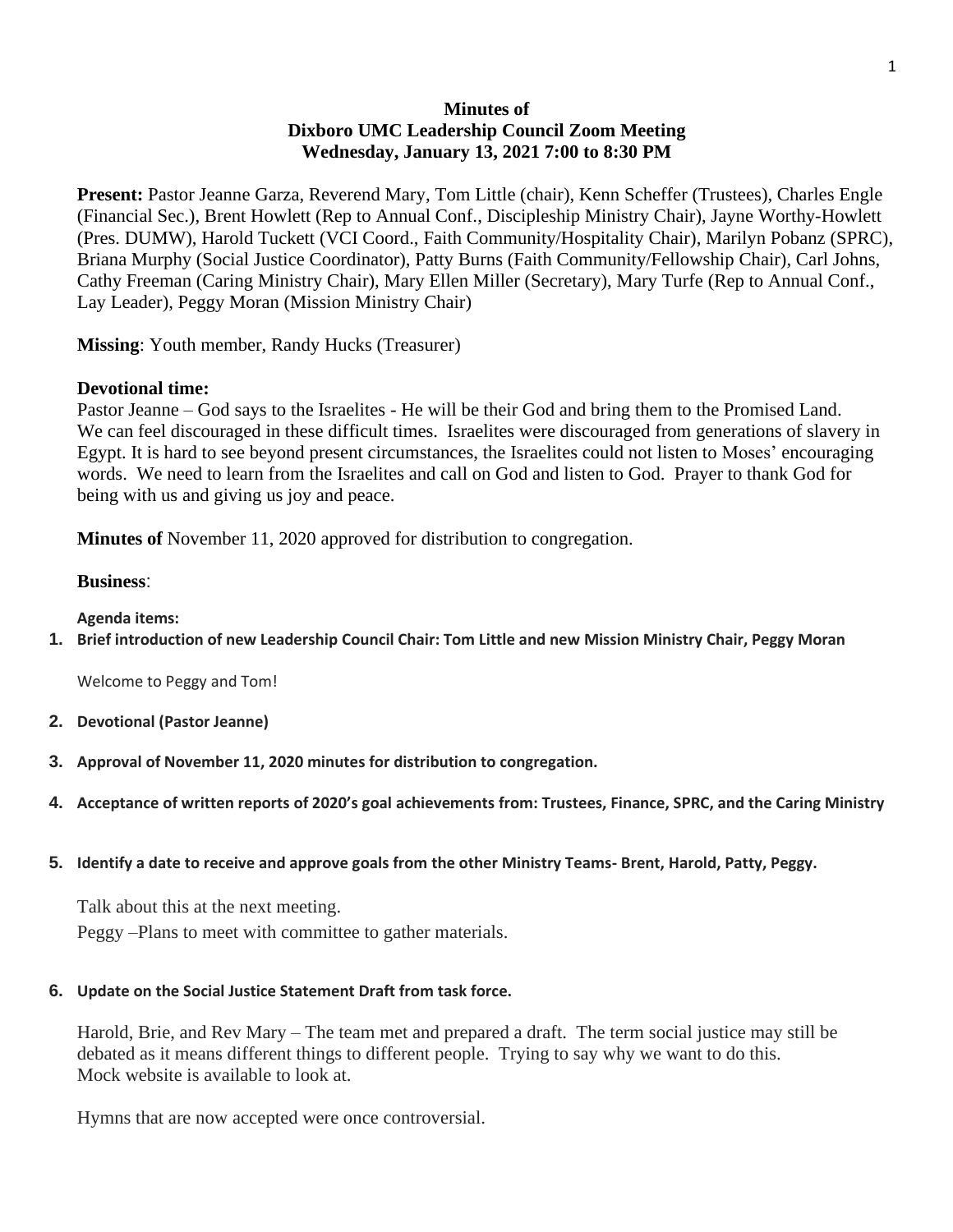# **Minutes of Dixboro UMC Leadership Council Zoom Meeting Wednesday, January 13, 2021 7:00 to 8:30 PM**

**Present:** Pastor Jeanne Garza, Reverend Mary, Tom Little (chair), Kenn Scheffer (Trustees), Charles Engle (Financial Sec.), Brent Howlett (Rep to Annual Conf., Discipleship Ministry Chair), Jayne Worthy-Howlett (Pres. DUMW), Harold Tuckett (VCI Coord., Faith Community/Hospitality Chair), Marilyn Pobanz (SPRC), Briana Murphy (Social Justice Coordinator), Patty Burns (Faith Community/Fellowship Chair), Carl Johns, Cathy Freeman (Caring Ministry Chair), Mary Ellen Miller (Secretary), Mary Turfe (Rep to Annual Conf., Lay Leader), Peggy Moran (Mission Ministry Chair)

**Missing**: Youth member, Randy Hucks (Treasurer)

## **Devotional time:**

Pastor Jeanne – God says to the Israelites - He will be their God and bring them to the Promised Land. We can feel discouraged in these difficult times. Israelites were discouraged from generations of slavery in Egypt. It is hard to see beyond present circumstances, the Israelites could not listen to Moses' encouraging words. We need to learn from the Israelites and call on God and listen to God. Prayer to thank God for being with us and giving us joy and peace.

**Minutes of** November 11, 2020 approved for distribution to congregation.

## **Business**:

**Agenda items:**

**1. Brief introduction of new Leadership Council Chair: Tom Little and new Mission Ministry Chair, Peggy Moran**

Welcome to Peggy and Tom!

- **2. Devotional (Pastor Jeanne)**
- **3. Approval of November 11, 2020 minutes for distribution to congregation.**
- **4. Acceptance of written reports of 2020's goal achievements from: Trustees, Finance, SPRC, and the Caring Ministry**
- **5. Identify a date to receive and approve goals from the other Ministry Teams- Brent, Harold, Patty, Peggy.**

Talk about this at the next meeting. Peggy –Plans to meet with committee to gather materials.

#### **6. Update on the Social Justice Statement Draft from task force.**

Harold, Brie, and Rev Mary – The team met and prepared a draft. The term social justice may still be debated as it means different things to different people. Trying to say why we want to do this. Mock website is available to look at.

Hymns that are now accepted were once controversial.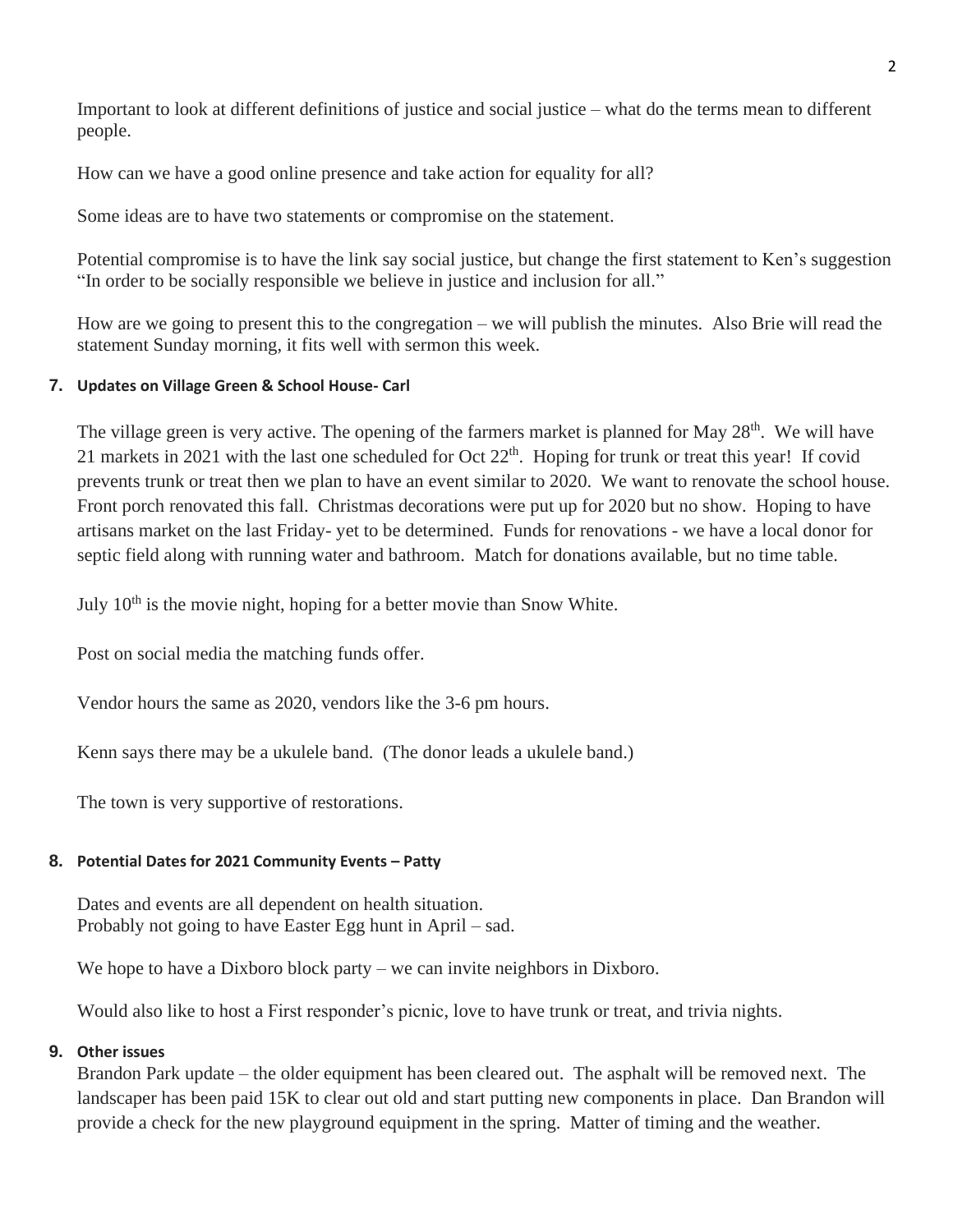Important to look at different definitions of justice and social justice – what do the terms mean to different people.

How can we have a good online presence and take action for equality for all?

Some ideas are to have two statements or compromise on the statement.

Potential compromise is to have the link say social justice, but change the first statement to Ken's suggestion "In order to be socially responsible we believe in justice and inclusion for all."

How are we going to present this to the congregation – we will publish the minutes. Also Brie will read the statement Sunday morning, it fits well with sermon this week.

## **7. Updates on Village Green & School House- Carl**

The village green is very active. The opening of the farmers market is planned for May 28<sup>th</sup>. We will have 21 markets in 2021 with the last one scheduled for Oct 22<sup>th</sup>. Hoping for trunk or treat this year! If covid prevents trunk or treat then we plan to have an event similar to 2020. We want to renovate the school house. Front porch renovated this fall. Christmas decorations were put up for 2020 but no show. Hoping to have artisans market on the last Friday- yet to be determined. Funds for renovations - we have a local donor for septic field along with running water and bathroom. Match for donations available, but no time table.

July 10th is the movie night, hoping for a better movie than Snow White.

Post on social media the matching funds offer.

Vendor hours the same as 2020, vendors like the 3-6 pm hours.

Kenn says there may be a ukulele band. (The donor leads a ukulele band.)

The town is very supportive of restorations.

#### **8. Potential Dates for 2021 Community Events – Patty**

Dates and events are all dependent on health situation. Probably not going to have Easter Egg hunt in April – sad.

We hope to have a Dixboro block party – we can invite neighbors in Dixboro.

Would also like to host a First responder's picnic, love to have trunk or treat, and trivia nights.

## **9. Other issues**

Brandon Park update – the older equipment has been cleared out. The asphalt will be removed next. The landscaper has been paid 15K to clear out old and start putting new components in place. Dan Brandon will provide a check for the new playground equipment in the spring. Matter of timing and the weather.